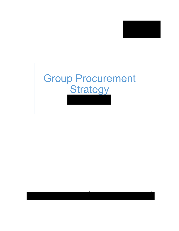

# Group Procurement **Strategy**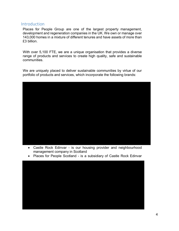#### Introduction

Places for People Group are one of the largest property management, development and regeneration companies in the UK. We own or manage over 143,000 homes in a mixture of different tenures and have assets of more than £3 billion.

With over 5,100 FTE, we are a unique organisation that provides a diverse range of products and services to create high quality, safe and sustainable communities.

We are uniquely placed to deliver sustainable communities by virtue of our portfolio of products and services, which incorporate the following brands:



- Castle Rock Edinvar is our housing provider and neighbourhood management company in Scotland
- Places for People Scotland is a subsidiary of Castle Rock Edinvar

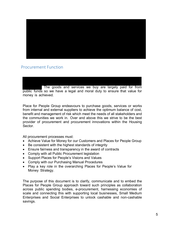

# Procurement Function

The goods and services we buy are largely paid for from public funds so we have a legal and moral duty to ensure that value for money is achieved.

Place for People Group endeavours to purchase goods, services or works from internal and external suppliers to achieve the optimum balance of cost, benefit and management of risk which meet the needs of all stakeholders and the communities we work in. Over and above this we strive to be the best provider of procurement and procurement innovations within the Housing Sector.

All procurement processes must:

- Achieve Value for Money for our Customers and Places for People Group
- Be consistent with the highest standards of integrity
- Ensure fairness and transparency in the award of contracts
- Comply with all Public Procurement legislation
- Support Places for People's Visions and Values
- Comply with our Purchasing Manual Procedures
- Play a key role in the overarching Places for People's Value for Money Strategy.

The purpose of this document is to clarify, communicate and to embed the Places for People Group approach toward such principles as collaboration across public spending bodies, e-procurement, harnessing economies of scale and connecting this with supporting local businesses, Small Medium Enterprises and Social Enterprises to unlock cashable and non-cashable savings.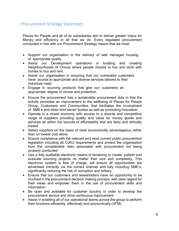### Procurement Strategy Statement

Places for People and all of its subsidiaries aim to deliver greater Value for Money and efficiency in all that we do. Every regulated procurement conducted in line with our Procurement Strategy means that we must:

- Support our organisation in the delivery of well managed housing of appropriate quality.
- Assist our Development operations in building and creating Neighbourhoods of Choice where people choose to live and work with homes to buy and rent.
- Assist our organisation in ensuring that our vulnerable customers have access to appropriate and diverse services tailored to their individual need.
- Engage in sourcing products that give our customers an appropriate degree of choice and protection.
- Ensure the procurement has a sustainable procurement duty in that the activity promotes an improvement to the wellbeing of Places for People Group, Customers and Communities, that facilitates the involvement of SME's and other third sector bodies as well as promoting innovation
- Operate in a mixed economy with access to a diverse and competitive range of suppliers providing quality and value for money goods and services all within the bounds of affordability that are fairly and ethically traded
- Select suppliers on the basis of most economically advantageous rather than on lowest cost alone.
- Ensure compliance with the relevant and most current public procurement legislation including all OJEU requirements and protect the organisation from the considerable risks associated with procurement not being properly conducted
- Use a fully auditable electronic means of tendering to create, publish and evaluate sourcing projects no matter their size and complexity. This electronic system is free of charge, will ensure all opportunities are advertised correctly via the correct channel and fully including SME's, significantly reducing the risk of corruption and bribery.
- Ensure that our customers and leaseholders have an opportunity to be involved in the procurement decision making process, with clear regard for their views and empower them in the use of procurement skills and information.
- Be open and available for customer scrutiny in order to develop the procurement service and drive continuous improvement
- Assist in enabling all of our operational teams across the group to perform their functions efficiently, effectively and economically (VFM)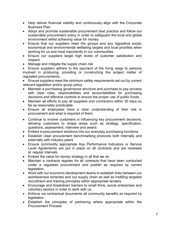- Help deliver financial viability and continuously align with the Corporate Business Plan.
- Adopt and promote sustainable procurement best practice and follow our sustainable procurement policy in order to safeguard the local and global environment whilst achieving value for money.
- Ensure that our suppliers meet the groups and any legislative social, economical and environmental wellbeing targets and local priorities when working for us and most importantly in our communities
- Ensure our suppliers target high levels of customer satisfaction and respect.
- Manage and mitigate the supply chain risk

• Ensure suppliers adhere to the payment of the living wage to persons involved in producing, providing or constructing the subject matter of regulated procurements.

• Ensure suppliers meet the minimum safety requirements set out by current relevant legislation and/or group policy.

- Maintain a purchasing governance structure and purchase to pay process with clear roles, responsibilities and accountabilities for purchasing decisions and effective controls to ensure the proper use of public funds.
- Maintain all efforts to pay all suppliers and contractors within 30 days so far as reasonably practicable
- Ensure all employees have a clear understanding of their role in procurement and what is required of them.
- Continue to involve customers in influencing key procurement decisions, allowing customers to shape areas such as strategy, specification, questions, assessment, interview and award.
- Embed e-procurement solutions into our everyday purchasing functions
- Establish clear procurement benchmarking protocols both internally and externally with industry peers
- Ensure commodity appropriate Key Performance Indicators or Service Level Agreements are put in place on all contracts and are reviewed at regular intervals
- Embed the value for money strategy in all that we do
- Maintain a contracts register for all contracts that have been conducted under a regulated procurement and publish as required by current legislation.
- Work with our economic development teams to establish links between our worklessness schemes and our supply chain as well as instilling targeted recruitment and training principles within appropriate tenders.
- Encourage and breakdown barriers to small firms, social enterprises and voluntary sectors in order to work with us.
- Enforce via contractual documents all community benefits as required by legislation.
- Establish the principles of partnering where appropriate within the Procurement Process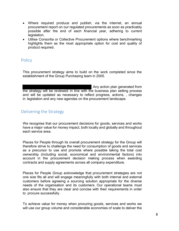- Where required produce and publish, via the internet, an annual procurement report on our regulated procurements as soon as practicably possible after the end of each financial year, adhering to current legislation.
- Utilise Consortia or Collective Procurement options where benchmarking highlights them as the most appropriate option for cost and quality of product required.

### **Policy**

This procurement strategy aims to build on the work completed since the establishment of the Group Purchasing team in 2005.

Any action plan generated from the strategy will be reviewed in line with the business plan setting process and will be updated as necessary to reflect progress, actions, , changes in legislation and any new agendas on the procurement landscape.

# Delivering the Strategy

We recognise that our procurement decisions for goods, services and works have a major value for money impact, both locally and globally and throughout each service area.

Places for People through its overall procurement strategy for the Group will therefore strive to challenge the need for consumption of goods and services as a precursor to use and promote where possible taking the total cost ownership (including social, economical and environmental factors) into account in the procurement decision making process when awarding contracts and supply agreements across all company expenditure.

Places for People Group acknowledge that procurement strategies are not one size fits all and will engage meaningfully with both internal and external customers before agreeing a sourcing solution appropriate for the diverse needs of the organisation and its customers. Our operational teams must also ensure that they are clear and concise with their requirements in order to procure successfully.

To achieve value for money when procuring goods, services and works we will use our group volume and considerable economies of scale to deliver the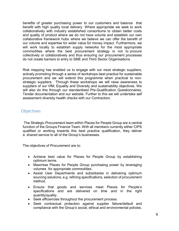benefits of greater purchasing power to our customers and balance that benefit with high quality local delivery. Where appropriate we seek to work collaboratively with industry established consortiums to obtain better costs and quality of product where we do not have volume and establish our own collaborative framework hubs where we believe we can offer the benefit of our volume and expertise for wider value for money impact. Furthermore, we will work locally to establish supply networks for the most appropriate commodities where the best procurement strategy is not to procure collectively or collaboratively and thus ensuring our procurement processes do not create barriers to entry to SME and Third Sector Organisations

Risk mapping has enabled us to engage with our most strategic suppliers, actively promoting through a series of workshops best practice for sustainable procurement and we will extend this programme when practical to nonstrategic suppliers. Through these workshops we will raise awareness to suppliers of our VfM, Equality and Diversity and sustainability objectives. We will also do this through our standardised Pre-Qualification Questionnaires, Tender documentation and our website. Further to this we will undertake self assessment diversity health checks with our Contractors.

#### **Objectives**

The Strategic Procurement team within Places for People Group are a central function of the Groups Finance Team. With all members currently either CIPS qualified or working towards this best practice qualification, they deliver a shared service to all of the Group's businesses.

The objectives of Procurement are to:

- Achieve best value for Places for People Group by establishing optimum terms.
- Maximise Places for People Group purchasing power by leveraging volumes for appropriate commodities.
- Assist User Departments and subsidiaries in delivering optimum sourcing solutions, e.g. refining specifications, selection of procurement method.
- Ensure that goods and services meet Places for People's specifications and are delivered on time and in the right quantity/quality.
- Seek efficiencies throughout the procurement process.
- Seek contractual protection against supplier failure/default and compliance with the Group's social, ethical and environmental policies.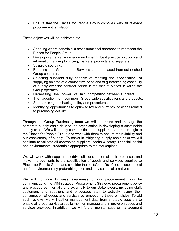• Ensure that the Places for People Group complies with all relevant procurement legislation.

These objectives will be achieved by:

- Adopting where beneficial a cross functional approach to represent the Places for People Group.
- Developing market knowledge and sharing best practice solutions and information relating to pricing, markets, products and suppliers.
- Strategic sourcing.
- Ensuring that Goods and Services are purchased from established Group contracts.
- Selecting suppliers fully capable of meeting the specification, of supplying on time at a competitive price and of guaranteeing continuity of supply over the contract period in the market places in which the Group operates.
- Harnessing the power of fair competition between suppliers.
- The adoption of common Group-wide specifications and products.
- Standardising purchasing policy and procedures.
- Identifying opportunities to optimise tax and currency positions related to purchasing activity.

Through the Group Purchasing team we will determine and manage the corporate supply chain risks to the organisation in developing a sustainable supply chain. We will identify commodities and suppliers that are strategic to the Places for People Group and work with them to ensure their viability and our consistency of supply. To assist in mitigating supply chain risks we will continue to validate all contracted suppliers' health & safety, financial, social and environmental credentials appropriate to the marketplace.

We will work with suppliers to drive efficiencies out of their processes and make improvements to the specification of goods and services supplied to Places for People Group and consider the costs/benefits of social, economical and/or environmentally preferable goods and services as alternatives

We will continue to raise awareness of our procurement work by communicating the VfM strategy, Procurement Strategy, procurement policy and procedures internally and externally to our stakeholders, including staff, customers and suppliers and encourage staff to actively review their consumption of goods and services by embedding these principles. To aid such reviews, we will gather management data from strategic suppliers to enable all group service areas to monitor, manage and improve on goods and services provided. In addition, we will further monitor supplier management